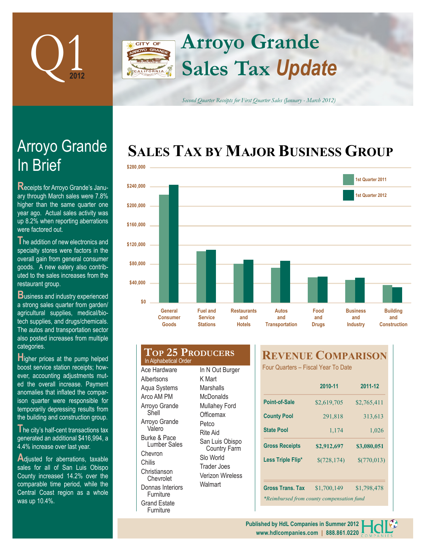

## **Arroyo Grande** CITY OF **Sales Tax** *Update*

*Second Quarter Receipts for First Quarter Sales (January - March 2012)*

# **SALES TAX BY MAJOR BUSINESS GROUP**



# In Brief Arroyo Grande

**R**eceipts for Arroyo Grande's January through March sales were 7.8% higher than the same quarter one year ago. Actual sales activity was up 8.2% when reporting aberrations were factored out.

**T**he addition of new electronics and specialty stores were factors in the overall gain from general consumer goods. A new eatery also contributed to the sales increases from the restaurant group.

**B**usiness and industry experienced a strong sales quarter from garden/ agricultural supplies, medical/biotech supplies, and drugs/chemicals. The autos and transportation sector also posted increases from multiple categories.

**H**igher prices at the pump helped boost service station receipts; however, accounting adjustments muted the overall increase. Payment anomalies that inflated the comparison quarter were responsible for temporarily depressing results from the building and construction group.

**T**he city's half-cent transactions tax generated an additional \$416,994, a 4.4% increase over last year.

Adjusted for aberrations, taxable sales for all of San Luis Obispo County increased 14.2% over the comparable time period, while the Central Coast region as a whole was up 10.4%.

#### **Top 25 Producers** Ace Hardware **Albertsons** In Alphabetical Order

Aqua Systems Arco AM PM Arroyo Grande Shell Arroyo Grande Valero Burke & Pace Lumber Sales Chevron Chilis Christianson **Chevrolet** Donnas Interiors **Furniture** Grand Estate Furniture

In N Out Burger K Mart **Marshalls McDonalds** Mullahey Ford **Officemax** Petco Rite Aid San Luis Obispo Country Farm Slo World Trader Joes Verizon Wireless Walmart

## **REVENUE COMPARISON**

Four Quarters – Fiscal Year To Date

|                                           | 2010-11      | 2011-12     |  |  |  |
|-------------------------------------------|--------------|-------------|--|--|--|
| Point-of-Sale                             | \$2,619,705  | \$2,765,411 |  |  |  |
| <b>County Pool</b>                        | 291,818      | 313,613     |  |  |  |
| <b>State Pool</b>                         | 1,174        | 1,026       |  |  |  |
| <b>Gross Receipts</b>                     | \$2,912,697  | \$3,080,051 |  |  |  |
| Less Triple Flip*                         | \$(728, 174) | \$(770,013) |  |  |  |
| <b>Gross Trans. Tax</b>                   | \$1,700,149  | \$1,798,478 |  |  |  |
| *Reimbursed from county compensation fund |              |             |  |  |  |